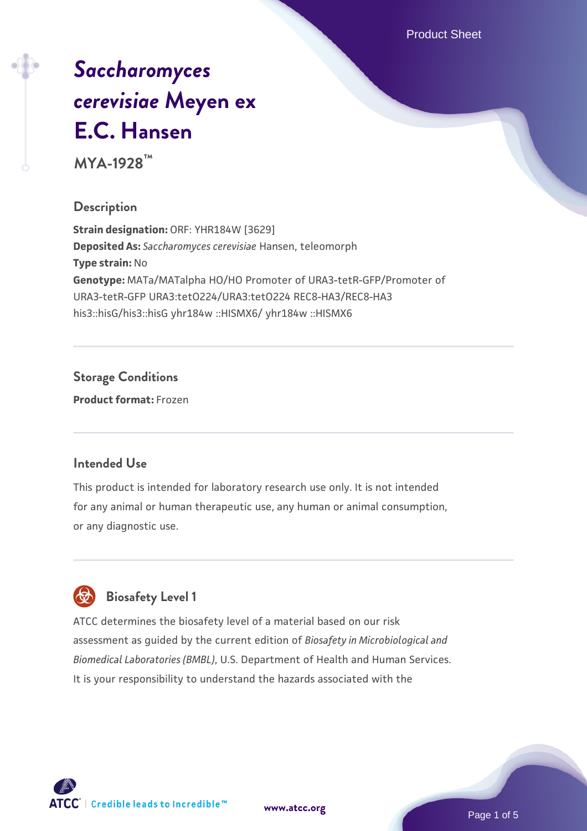Product Sheet

# *[Saccharomyces](https://www.atcc.org/products/mya-1928) [cerevisiae](https://www.atcc.org/products/mya-1928)* **[Meyen ex](https://www.atcc.org/products/mya-1928) [E.C. Hansen](https://www.atcc.org/products/mya-1928)**

**MYA-1928™**

## **Description**

**Strain designation:** ORF: YHR184W [3629] **Deposited As:** *Saccharomyces cerevisiae* Hansen, teleomorph **Type strain:** No **Genotype:** MATa/MATalpha HO/HO Promoter of URA3-tetR-GFP/Promoter of URA3-tetR-GFP URA3:tetO224/URA3:tetO224 REC8-HA3/REC8-HA3 his3::hisG/his3::hisG yhr184w ::HISMX6/ yhr184w ::HISMX6

## **Storage Conditions**

**Product format:** Frozen

#### **Intended Use**

This product is intended for laboratory research use only. It is not intended for any animal or human therapeutic use, any human or animal consumption, or any diagnostic use.



## **Biosafety Level 1**

ATCC determines the biosafety level of a material based on our risk assessment as guided by the current edition of *Biosafety in Microbiological and Biomedical Laboratories (BMBL)*, U.S. Department of Health and Human Services. It is your responsibility to understand the hazards associated with the

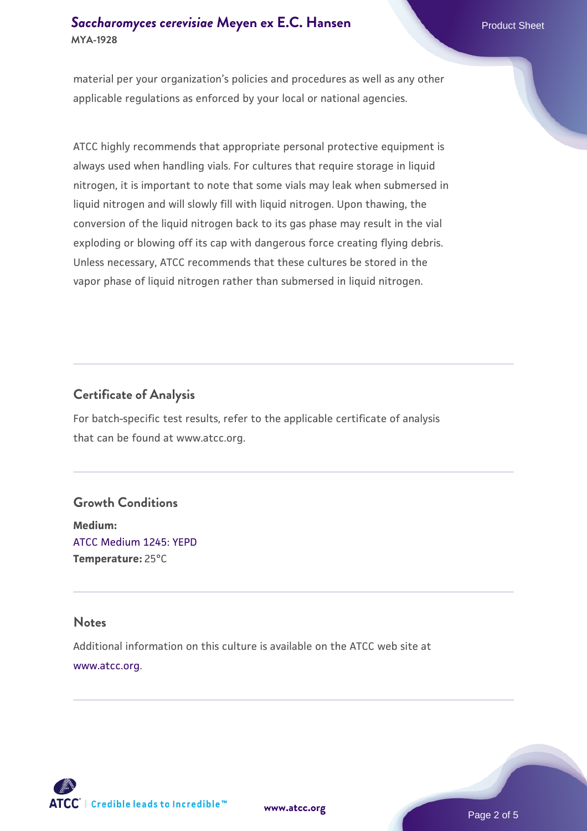material per your organization's policies and procedures as well as any other applicable regulations as enforced by your local or national agencies.

ATCC highly recommends that appropriate personal protective equipment is always used when handling vials. For cultures that require storage in liquid nitrogen, it is important to note that some vials may leak when submersed in liquid nitrogen and will slowly fill with liquid nitrogen. Upon thawing, the conversion of the liquid nitrogen back to its gas phase may result in the vial exploding or blowing off its cap with dangerous force creating flying debris. Unless necessary, ATCC recommends that these cultures be stored in the vapor phase of liquid nitrogen rather than submersed in liquid nitrogen.

## **Certificate of Analysis**

For batch-specific test results, refer to the applicable certificate of analysis that can be found at www.atcc.org.

## **Growth Conditions**

**Medium:**  [ATCC Medium 1245: YEPD](https://www.atcc.org/-/media/product-assets/documents/microbial-media-formulations/1/2/4/5/atcc-medium-1245.pdf?rev=705ca55d1b6f490a808a965d5c072196) **Temperature:** 25°C

#### **Notes**

Additional information on this culture is available on the ATCC web site at [www.atcc.org.](http://www.atcc.org/)



**[www.atcc.org](http://www.atcc.org)**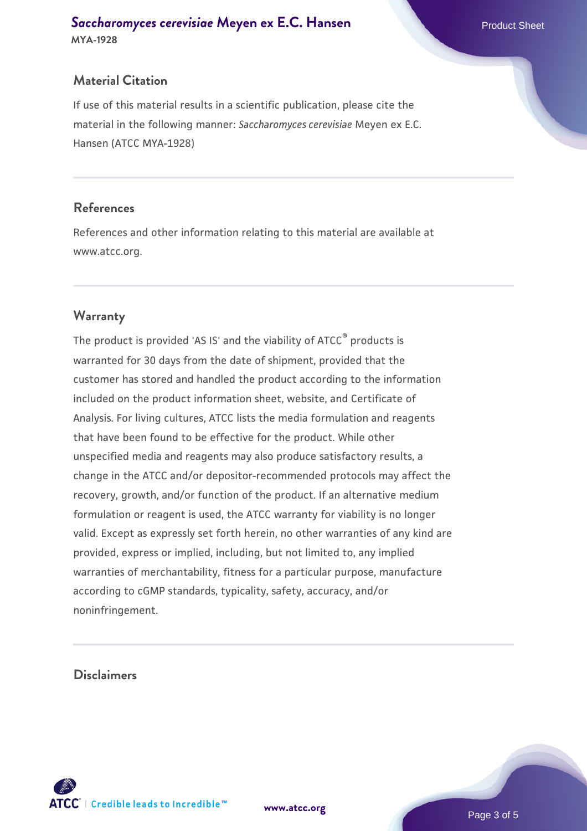## **Material Citation**

If use of this material results in a scientific publication, please cite the material in the following manner: *Saccharomyces cerevisiae* Meyen ex E.C. Hansen (ATCC MYA-1928)

#### **References**

References and other information relating to this material are available at www.atcc.org.

## **Warranty**

The product is provided 'AS IS' and the viability of ATCC® products is warranted for 30 days from the date of shipment, provided that the customer has stored and handled the product according to the information included on the product information sheet, website, and Certificate of Analysis. For living cultures, ATCC lists the media formulation and reagents that have been found to be effective for the product. While other unspecified media and reagents may also produce satisfactory results, a change in the ATCC and/or depositor-recommended protocols may affect the recovery, growth, and/or function of the product. If an alternative medium formulation or reagent is used, the ATCC warranty for viability is no longer valid. Except as expressly set forth herein, no other warranties of any kind are provided, express or implied, including, but not limited to, any implied warranties of merchantability, fitness for a particular purpose, manufacture according to cGMP standards, typicality, safety, accuracy, and/or noninfringement.

#### **Disclaimers**



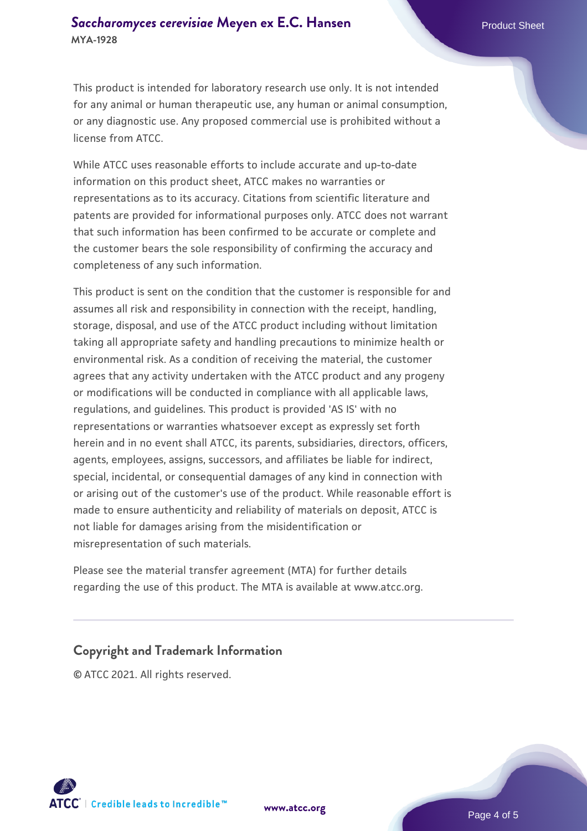This product is intended for laboratory research use only. It is not intended for any animal or human therapeutic use, any human or animal consumption, or any diagnostic use. Any proposed commercial use is prohibited without a license from ATCC.

While ATCC uses reasonable efforts to include accurate and up-to-date information on this product sheet, ATCC makes no warranties or representations as to its accuracy. Citations from scientific literature and patents are provided for informational purposes only. ATCC does not warrant that such information has been confirmed to be accurate or complete and the customer bears the sole responsibility of confirming the accuracy and completeness of any such information.

This product is sent on the condition that the customer is responsible for and assumes all risk and responsibility in connection with the receipt, handling, storage, disposal, and use of the ATCC product including without limitation taking all appropriate safety and handling precautions to minimize health or environmental risk. As a condition of receiving the material, the customer agrees that any activity undertaken with the ATCC product and any progeny or modifications will be conducted in compliance with all applicable laws, regulations, and guidelines. This product is provided 'AS IS' with no representations or warranties whatsoever except as expressly set forth herein and in no event shall ATCC, its parents, subsidiaries, directors, officers, agents, employees, assigns, successors, and affiliates be liable for indirect, special, incidental, or consequential damages of any kind in connection with or arising out of the customer's use of the product. While reasonable effort is made to ensure authenticity and reliability of materials on deposit, ATCC is not liable for damages arising from the misidentification or misrepresentation of such materials.

Please see the material transfer agreement (MTA) for further details regarding the use of this product. The MTA is available at www.atcc.org.

#### **Copyright and Trademark Information**

© ATCC 2021. All rights reserved.